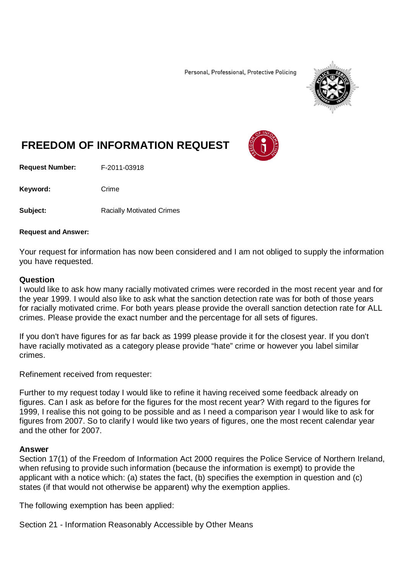Personal, Professional, Protective Policing



## **FREEDOM OF INFORMATION REQUEST**

**Request Number:** F-2011-03918

Keyword: Crime

**Subject:** Racially Motivated Crimes

## **Request and Answer:**

Your request for information has now been considered and I am not obliged to supply the information you have requested.

## **Question**

I would like to ask how many racially motivated crimes were recorded in the most recent year and for the year 1999. I would also like to ask what the sanction detection rate was for both of those years for racially motivated crime. For both years please provide the overall sanction detection rate for ALL crimes. Please provide the exact number and the percentage for all sets of figures.

If you don't have figures for as far back as 1999 please provide it for the closest year. If you don't have racially motivated as a category please provide "hate" crime or however you label similar crimes.

Refinement received from requester:

Further to my request today I would like to refine it having received some feedback already on figures. Can I ask as before for the figures for the most recent year? With regard to the figures for 1999, I realise this not going to be possible and as I need a comparison year I would like to ask for figures from 2007. So to clarify I would like two years of figures, one the most recent calendar year and the other for 2007.

## **Answer**

Section 17(1) of the Freedom of Information Act 2000 requires the Police Service of Northern Ireland, when refusing to provide such information (because the information is exempt) to provide the applicant with a notice which: (a) states the fact, (b) specifies the exemption in question and (c) states (if that would not otherwise be apparent) why the exemption applies.

The following exemption has been applied:

Section 21 - Information Reasonably Accessible by Other Means